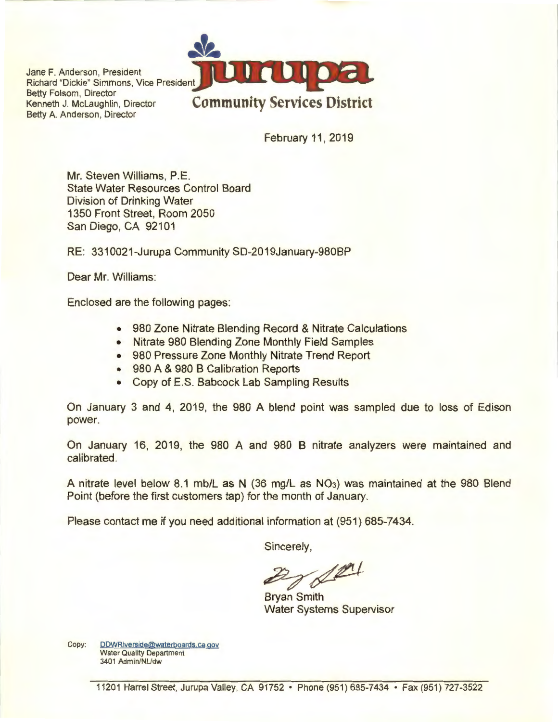Jane F. Anderson, President Richard "Dickie" Simmons, Vice President Betty Folsom, Director<br>Kenneth J. McLaughlin, Director Betty A. Anderson, Director



February 11 , 2019

Mr. Steven Williams, P.E. State Water Resources Control Board Division of Drinking Water 1350 Front Street, Room 2050 San Diego, CA 92101

RE: 3310021-Jurupa Community SD-2019January-980BP

Dear Mr. Williams:

Enclosed are the following pages:

- 980 Zone Nitrate Blending Record & Nitrate Calculations
- Nitrate 980 Blending Zone Monthly Field Samples
- 980 Pressure Zone Monthly Nitrate Trend Report
- 980 A & 980 B Calibration Reports
- Copy of E.S. Babcock Lab Sampling Results

On January 3 and 4, 2019, the 980 A blend point was sampled due to loss of Edison power.

On January 16, 2019, the 980 A and 980 B nitrate analyzers were maintained and calibrated.

A nitrate level below 8.1 mb/L as N (36 mg/L as N03) was maintained at the 980 Blend Point (before the first customers tap) for the month of January.

Please contact me if you need additional information at (951) 685-7434.

Sincerely,

 $\mathbb{Z}$  of  $\mathbb{Z}$ 

Water Systems Supervisor

Copy: DDWRiverside@waterboards.ca.gov Water Quality Department 3401 Admin/NUdw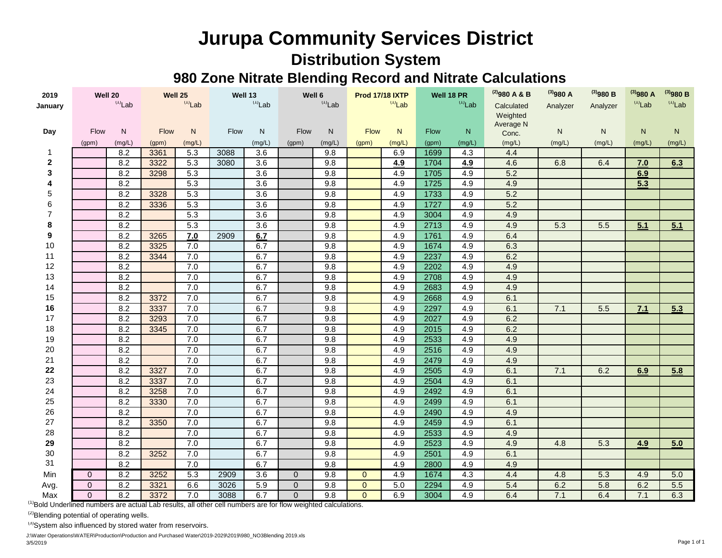## **Jurupa Community Services District Distribution System**

## **980 Zone Nitrate Blending Record and Nitrate Calculations**

| 2019           | Well 20        |        | Well 25     |        | Well 13   |                  | Well 6       |        | <b>Prod 17/18 IXTP</b> |        | Well 18 PR  |        | $^{(2)}$ 980 A & B | $^{(3)}980A$ | $^{(3)}980B$ | $^{(3)}980A$ | $^{(3)}980B$ |
|----------------|----------------|--------|-------------|--------|-----------|------------------|--------------|--------|------------------------|--------|-------------|--------|--------------------|--------------|--------------|--------------|--------------|
| January        | $(1)$ Lab      |        | $(1)$ Lab   |        | $(1)$ Lab |                  | $(1)$ Lab    |        | $(1)Lab$               |        | $(1)$ Lab   |        | Calculated         | Analyzer     | Analyzer     | $(1)$ Lab    | $(1)$ Lab    |
|                |                |        |             |        |           |                  |              |        |                        |        |             |        | Weighted           |              |              |              |              |
| Day            | Flow           | N      | <b>Flow</b> | N      | Flow      | N                | Flow         | N      | <b>Flow</b>            | N      | <b>Flow</b> | N.     | Average N<br>Conc. | N            | N            | N            | N            |
|                | (gpm)          | (mg/L) | (gpm)       | (mg/L) |           | (mg/L)           | (gpm)        | (mg/L) | (gpm)                  | (mg/L) | (gpm)       | (mg/L) | (mg/L)             | (mg/L)       | (mg/L)       | (mg/L)       | (mg/L)       |
| -1             |                | 8.2    | 3361        | 5.3    | 3088      | 3.6              |              | 9.8    |                        | 6.9    | 1699        | 4.3    | 4.4                |              |              |              |              |
| $\mathbf{2}$   |                | 8.2    | 3322        | 5.3    | 3080      | 3.6              |              | 9.8    |                        | 4.9    | 1704        | 4.9    | 4.6                | 6.8          | 6.4          | 7.0          | 6.3          |
| 3              |                | 8.2    | 3298        | 5.3    |           | 3.6              |              | 9.8    |                        | 4.9    | 1705        | 4.9    | 5.2                |              |              | 6.9          |              |
| 4              |                | 8.2    |             | 5.3    |           | $\overline{3.6}$ |              | 9.8    |                        | 4.9    | 1725        | 4.9    | 4.9                |              |              | 5.3          |              |
| 5              |                | 8.2    | 3328        | 5.3    |           | $\overline{3.6}$ |              | 9.8    |                        | 4.9    | 1733        | 4.9    | 5.2                |              |              |              |              |
| 6              |                | 8.2    | 3336        | 5.3    |           | $\overline{3.6}$ |              | 9.8    |                        | 4.9    | 1727        | 4.9    | 5.2                |              |              |              |              |
| $\overline{7}$ |                | 8.2    |             | 5.3    |           | $\overline{3.6}$ |              | 9.8    |                        | 4.9    | 3004        | 4.9    | 4.9                |              |              |              |              |
| 8              |                | 8.2    |             | 5.3    |           | 3.6              |              | 9.8    |                        | 4.9    | 2713        | 4.9    | 4.9                | 5.3          | 5.5          | 5.1          | 5.1          |
| 9              |                | 8.2    | 3265        | 7.0    | 2909      | 6.7              |              | 9.8    |                        | 4.9    | 1761        | 4.9    | 6.4                |              |              |              |              |
| 10             |                | 8.2    | 3325        | 7.0    |           | 6.7              |              | 9.8    |                        | 4.9    | 1674        | 4.9    | 6.3                |              |              |              |              |
| 11             |                | 8.2    | 3344        | 7.0    |           | 6.7              |              | 9.8    |                        | 4.9    | 2237        | 4.9    | 6.2                |              |              |              |              |
| 12             |                | 8.2    |             | 7.0    |           | 6.7              |              | 9.8    |                        | 4.9    | 2202        | 4.9    | 4.9                |              |              |              |              |
| 13             |                | 8.2    |             | 7.0    |           | 6.7              |              | 9.8    |                        | 4.9    | 2708        | 4.9    | 4.9                |              |              |              |              |
| 14             |                | 8.2    |             | 7.0    |           | 6.7              |              | 9.8    |                        | 4.9    | 2683        | 4.9    | 4.9                |              |              |              |              |
| 15             |                | 8.2    | 3372        | 7.0    |           | 6.7              |              | 9.8    |                        | 4.9    | 2668        | 4.9    | 6.1                |              |              |              |              |
| 16             |                | 8.2    | 3337        | 7.0    |           | 6.7              |              | 9.8    |                        | 4.9    | 2297        | 4.9    | 6.1                | 7.1          | 5.5          | 7.1          | 5.3          |
| 17             |                | 8.2    | 3293        | 7.0    |           | 6.7              |              | 9.8    |                        | 4.9    | 2027        | 4.9    | 6.2                |              |              |              |              |
| 18             |                | 8.2    | 3345        | 7.0    |           | 6.7              |              | 9.8    |                        | 4.9    | 2015        | 4.9    | 6.2                |              |              |              |              |
| 19             |                | 8.2    |             | 7.0    |           | 6.7              |              | 9.8    |                        | 4.9    | 2533        | 4.9    | 4.9                |              |              |              |              |
| 20             |                | 8.2    |             | 7.0    |           | 6.7              |              | 9.8    |                        | 4.9    | 2516        | 4.9    | 4.9                |              |              |              |              |
| 21             |                | 8.2    |             | 7.0    |           | 6.7              |              | 9.8    |                        | 4.9    | 2479        | 4.9    | 4.9                |              |              |              |              |
| 22             |                | 8.2    | 3327        | 7.0    |           | 6.7              |              | 9.8    |                        | 4.9    | 2505        | 4.9    | 6.1                | 7.1          | 6.2          | 6.9          | 5.8          |
| 23             |                | 8.2    | 3337        | 7.0    |           | 6.7              |              | 9.8    |                        | 4.9    | 2504        | 4.9    | 6.1                |              |              |              |              |
| 24             |                | 8.2    | 3258        | 7.0    |           | 6.7              |              | 9.8    |                        | 4.9    | 2492        | 4.9    | 6.1                |              |              |              |              |
| 25             |                | 8.2    | 3330        | 7.0    |           | 6.7              |              | 9.8    |                        | 4.9    | 2499        | 4.9    | 6.1                |              |              |              |              |
| 26             |                | 8.2    |             | 7.0    |           | 6.7              |              | 9.8    |                        | 4.9    | 2490        | 4.9    | 4.9                |              |              |              |              |
| 27             |                | 8.2    | 3350        | 7.0    |           | 6.7              |              | 9.8    |                        | 4.9    | 2459        | 4.9    | 6.1                |              |              |              |              |
| 28             |                | 8.2    |             | 7.0    |           | 6.7              |              | 9.8    |                        | 4.9    | 2533        | 4.9    | 4.9                |              |              |              |              |
| 29             |                | 8.2    |             | 7.0    |           | 6.7              |              | 9.8    |                        | 4.9    | 2523        | 4.9    | 4.9                | 4.8          | 5.3          | 4.9          | 5.0          |
| 30             |                | 8.2    | 3252        | 7.0    |           | 6.7              |              | 9.8    |                        | 4.9    | 2501        | 4.9    | 6.1                |              |              |              |              |
| 31             |                | 8.2    |             | 7.0    |           | 6.7              |              | 9.8    |                        | 4.9    | 2800        | 4.9    | 4.9                |              |              |              |              |
| Min            | $\mathbf{0}$   | 8.2    | 3252        | 5.3    | 2909      | 3.6              | $\mathbf{0}$ | 9.8    | $\mathbf{0}$           | 4.9    | 1674        | 4.3    | 4.4                | 4.8          | 5.3          | 4.9          | 5.0          |
| Avg.           | $\overline{0}$ | 8.2    | 3321        | 6.6    | 3026      | 5.9              | $\Omega$     | 9.8    | $\Omega$               | 5.0    | 2294        | 4.9    | 5.4                | 6.2          | 5.8          | 6.2          | 5.5          |
| Max            | $\Omega$       | 8.2    | 3372        | 7.0    | 3088      | 6.7              | $\Omega$     | 9.8    | $\Omega$               | 6.9    | 3004        | 4.9    | 6.4                | 7.1          | 6.4          | 7.1          | 6.3          |

(1)Bold Underlined numbers are actual Lab results, all other cell numbers are for flow weighted calculations.

<sup>(2)</sup>Blending potential of operating wells.

 $^{(3)}$ System also influenced by stored water from reservoirs.

J:\Water Operations\WATER\Production\Production and Purchased Water\2019-2029\2019\980\_NO3Blending 2019.xls 3/5/2019 Page 1 of 1